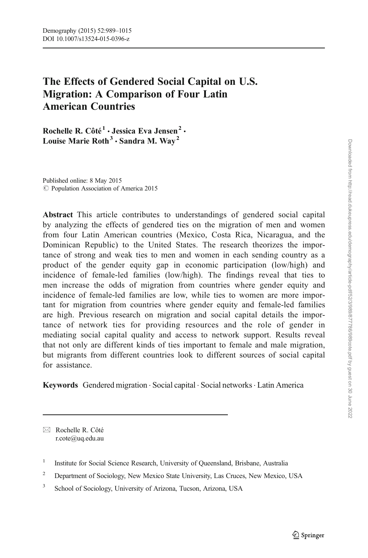# The Effects of Gendered Social Capital on U.S. Migration: A Comparison of Four Latin American Countries

Rochelle R. Côté<sup>1</sup> · Jessica Eva Jensen<sup>2</sup> · Louise Marie Roth<sup>3</sup>  $\cdot$  Sandra M. Way<sup>2</sup>

Published online: 8 May 2015 C Population Association of America 2015

Abstract This article contributes to understandings of gendered social capital by analyzing the effects of gendered ties on the migration of men and women from four Latin American countries (Mexico, Costa Rica, Nicaragua, and the Dominican Republic) to the United States. The research theorizes the importance of strong and weak ties to men and women in each sending country as a product of the gender equity gap in economic participation (low/high) and incidence of female-led families (low/high). The findings reveal that ties to men increase the odds of migration from countries where gender equity and incidence of female-led families are low, while ties to women are more important for migration from countries where gender equity and female-led families are high. Previous research on migration and social capital details the importance of network ties for providing resources and the role of gender in mediating social capital quality and access to network support. Results reveal that not only are different kinds of ties important to female and male migration, but migrants from different countries look to different sources of social capital for assistance.

Keywords Gendered migration . Social capital . Social networks. Latin America

 $\boxtimes$  Rochelle R. Côté r.cote@uq.edu.au

<sup>&</sup>lt;sup>1</sup> Institute for Social Science Research, University of Queensland, Brisbane, Australia

<sup>&</sup>lt;sup>2</sup> Department of Sociology, New Mexico State University, Las Cruces, New Mexico, USA

<sup>&</sup>lt;sup>3</sup> School of Sociology, University of Arizona, Tucson, Arizona, USA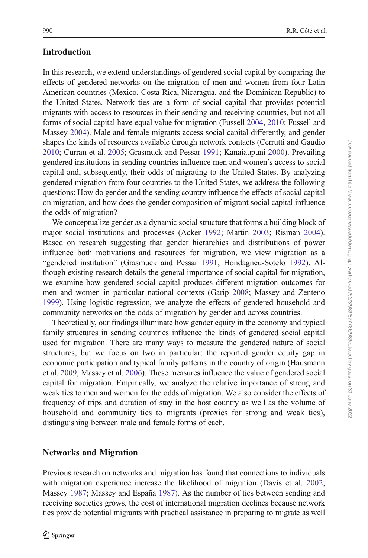# Introduction

In this research, we extend understandings of gendered social capital by comparing the effects of gendered networks on the migration of men and women from four Latin American countries (Mexico, Costa Rica, Nicaragua, and the Dominican Republic) to the United States. Network ties are a form of social capital that provides potential migrants with access to resources in their sending and receiving countries, but not all forms of social capital have equal value for migration (Fussell [2004](#page-25-0), [2010](#page-25-0); Fussell and Massey [2004](#page-25-0)). Male and female migrants access social capital differently, and gender shapes the kinds of resources available through network contacts (Cerrutti and Gaudio [2010;](#page-24-0) Curran et al. [2005](#page-25-0); Grasmuck and Pessar [1991;](#page-25-0) Kanaiaupuni [2000\)](#page-25-0). Prevailing gendered institutions in sending countries influence men and women's access to social capital and, subsequently, their odds of migrating to the United States. By analyzing gendered migration from four countries to the United States, we address the following questions: How do gender and the sending country influence the effects of social capital on migration, and how does the gender composition of migrant social capital influence the odds of migration?

We conceptualize gender as a dynamic social structure that forms a building block of major social institutions and processes (Acker [1992;](#page-24-0) Martin [2003;](#page-25-0) Risman [2004\)](#page-26-0). Based on research suggesting that gender hierarchies and distributions of power influence both motivations and resources for migration, we view migration as a "gendered institution" (Grasmuck and Pessar [1991](#page-25-0); Hondagneu-Sotelo [1992](#page-25-0)). Although existing research details the general importance of social capital for migration, we examine how gendered social capital produces different migration outcomes for men and women in particular national contexts (Garip [2008](#page-25-0); Massey and Zenteno [1999\)](#page-26-0). Using logistic regression, we analyze the effects of gendered household and community networks on the odds of migration by gender and across countries.

Theoretically, our findings illuminate how gender equity in the economy and typical family structures in sending countries influence the kinds of gendered social capital used for migration. There are many ways to measure the gendered nature of social structures, but we focus on two in particular: the reported gender equity gap in economic participation and typical family patterns in the country of origin (Hausmann et al. [2009;](#page-25-0) Massey et al. [2006\)](#page-26-0). These measures influence the value of gendered social capital for migration. Empirically, we analyze the relative importance of strong and weak ties to men and women for the odds of migration. We also consider the effects of frequency of trips and duration of stay in the host country as well as the volume of household and community ties to migrants (proxies for strong and weak ties), distinguishing between male and female forms of each.

# Networks and Migration

Previous research on networks and migration has found that connections to individuals with migration experience increase the likelihood of migration (Davis et al. [2002;](#page-25-0) Massey [1987](#page-25-0); Massey and España [1987\)](#page-25-0). As the number of ties between sending and receiving societies grows, the cost of international migration declines because network ties provide potential migrants with practical assistance in preparing to migrate as well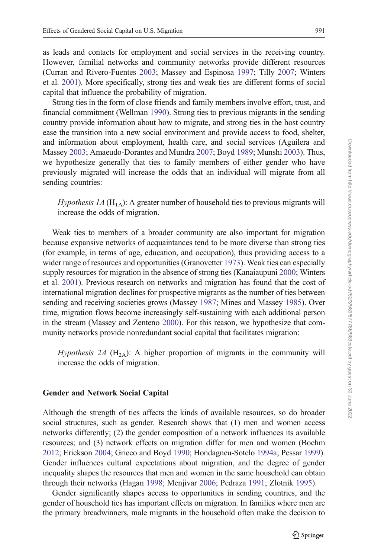as leads and contacts for employment and social services in the receiving country. However, familial networks and community networks provide different resources (Curran and Rivero-Fuentes [2003](#page-25-0); Massey and Espinosa [1997;](#page-25-0) Tilly [2007](#page-26-0); Winters et al. [2001](#page-26-0)). More specifically, strong ties and weak ties are different forms of social capital that influence the probability of migration.

Strong ties in the form of close friends and family members involve effort, trust, and financial commitment (Wellman [1990\)](#page-26-0). Strong ties to previous migrants in the sending country provide information about how to migrate, and strong ties in the host country ease the transition into a new social environment and provide access to food, shelter, and information about employment, health care, and social services (Aguilera and Massey [2003;](#page-24-0) Amaeudo-Dorantes and Mundra [2007](#page-24-0); Boyd [1989](#page-24-0); Munshi [2003\)](#page-26-0). Thus, we hypothesize generally that ties to family members of either gender who have previously migrated will increase the odds that an individual will migrate from all sending countries:

*Hypothesis 1A* ( $H_{1A}$ ): A greater number of household ties to previous migrants will increase the odds of migration.

Weak ties to members of a broader community are also important for migration because expansive networks of acquaintances tend to be more diverse than strong ties (for example, in terms of age, education, and occupation), thus providing access to a wider range of resources and opportunities (Granovetter [1973](#page-25-0)). Weak ties can especially supply resources for migration in the absence of strong ties (Kanaiaupuni [2000](#page-25-0); Winters et al. [2001\)](#page-26-0). Previous research on networks and migration has found that the cost of international migration declines for prospective migrants as the number of ties between sending and receiving societies grows (Massey [1987](#page-25-0); Mines and Massey [1985](#page-26-0)). Over time, migration flows become increasingly self-sustaining with each additional person in the stream (Massey and Zenteno [2000](#page-26-0)). For this reason, we hypothesize that community networks provide nonredundant social capital that facilitates migration:

*Hypothesis 2A* ( $H_{2A}$ ): A higher proportion of migrants in the community will increase the odds of migration.

### Gender and Network Social Capital

Although the strength of ties affects the kinds of available resources, so do broader social structures, such as gender. Research shows that (1) men and women access networks differently; (2) the gender composition of a network influences its available resources; and (3) network effects on migration differ for men and women (Boehm [2012;](#page-24-0) Erickson [2004](#page-25-0); Grieco and Boyd [1990](#page-25-0); Hondagneu-Sotelo [1994a;](#page-25-0) Pessar [1999\)](#page-26-0). Gender influences cultural expectations about migration, and the degree of gender inequality shapes the resources that men and women in the same household can obtain through their networks (Hagan [1998](#page-25-0); Menjivar [2006;](#page-26-0) Pedraza [1991](#page-26-0); Zlotnik [1995\)](#page-26-0).

Gender significantly shapes access to opportunities in sending countries, and the gender of household ties has important effects on migration. In families where men are the primary breadwinners, male migrants in the household often make the decision to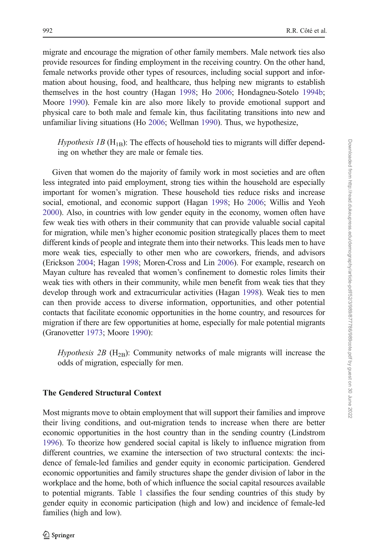migrate and encourage the migration of other family members. Male network ties also provide resources for finding employment in the receiving country. On the other hand, female networks provide other types of resources, including social support and information about housing, food, and healthcare, thus helping new migrants to establish themselves in the host country (Hagan [1998;](#page-25-0) Ho [2006;](#page-25-0) Hondagneu-Sotelo [1994b;](#page-25-0) Moore [1990](#page-26-0)). Female kin are also more likely to provide emotional support and physical care to both male and female kin, thus facilitating transitions into new and unfamiliar living situations (Ho [2006;](#page-25-0) Wellman [1990\)](#page-26-0). Thus, we hypothesize,

*Hypothesis 1B* ( $H_{1B}$ ): The effects of household ties to migrants will differ depending on whether they are male or female ties.

Given that women do the majority of family work in most societies and are often less integrated into paid employment, strong ties within the household are especially important for women's migration. These household ties reduce risks and increase social, emotional, and economic support (Hagan [1998](#page-25-0); Ho [2006](#page-25-0); Willis and Yeoh [2000\)](#page-26-0). Also, in countries with low gender equity in the economy, women often have few weak ties with others in their community that can provide valuable social capital for migration, while men's higher economic position strategically places them to meet different kinds of people and integrate them into their networks. This leads men to have more weak ties, especially to other men who are coworkers, friends, and advisors (Erickson [2004](#page-25-0); Hagan [1998](#page-25-0); Moren-Cross and Lin [2006](#page-26-0)). For example, research on Mayan culture has revealed that women's confinement to domestic roles limits their weak ties with others in their community, while men benefit from weak ties that they develop through work and extracurricular activities (Hagan [1998](#page-25-0)). Weak ties to men can then provide access to diverse information, opportunities, and other potential contacts that facilitate economic opportunities in the home country, and resources for migration if there are few opportunities at home, especially for male potential migrants (Granovetter [1973;](#page-25-0) Moore [1990\)](#page-26-0):

*Hypothesis 2B* ( $H_{2B}$ ): Community networks of male migrants will increase the odds of migration, especially for men.

### The Gendered Structural Context

Most migrants move to obtain employment that will support their families and improve their living conditions, and out-migration tends to increase when there are better economic opportunities in the host country than in the sending country (Lindstrom [1996\)](#page-25-0). To theorize how gendered social capital is likely to influence migration from different countries, we examine the intersection of two structural contexts: the incidence of female-led families and gender equity in economic participation. Gendered economic opportunities and family structures shape the gender division of labor in the workplace and the home, both of which influence the social capital resources available to potential migrants. Table [1](#page-4-0) classifies the four sending countries of this study by gender equity in economic participation (high and low) and incidence of female-led families (high and low).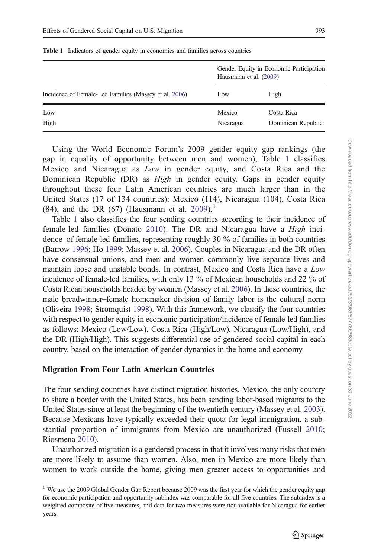|                                                       | Gender Equity in Economic Participation<br>Hausmann et al. (2009) |                                  |  |
|-------------------------------------------------------|-------------------------------------------------------------------|----------------------------------|--|
| Incidence of Female-Led Families (Massey et al. 2006) | Low                                                               | High                             |  |
| Low<br>High                                           | Mexico<br>Nicaragua                                               | Costa Rica<br>Dominican Republic |  |

<span id="page-4-0"></span>Table 1 Indicators of gender equity in economies and families across countries

Using the World Economic Forum's 2009 gender equity gap rankings (the gap in equality of opportunity between men and women), Table 1 classifies Mexico and Nicaragua as Low in gender equity, and Costa Rica and the Dominican Republic (DR) as High in gender equity. Gaps in gender equity throughout these four Latin American countries are much larger than in the United States (17 of 134 countries): Mexico (114), Nicaragua (104), Costa Rica (84), and the DR (67) (Hausmann et al.  $2009$ ).<sup>1</sup>

Table 1 also classifies the four sending countries according to their incidence of female-led families (Donato [2010\)](#page-25-0). The DR and Nicaragua have a High incidence of female-led families, representing roughly 30 % of families in both countries (Barrow [1996;](#page-24-0) Ho [1999](#page-25-0); Massey et al. [2006\)](#page-26-0). Couples in Nicaragua and the DR often have consensual unions, and men and women commonly live separate lives and maintain loose and unstable bonds. In contrast, Mexico and Costa Rica have a Low incidence of female-led families, with only 13 % of Mexican households and 22 % of Costa Rican households headed by women (Massey et al. [2006\)](#page-26-0). In these countries, the male breadwinner–female homemaker division of family labor is the cultural norm (Oliveira [1998](#page-26-0); Stromquist [1998](#page-26-0)). With this framework, we classify the four countries with respect to gender equity in economic participation/incidence of female-led families as follows: Mexico (Low/Low), Costa Rica (High/Low), Nicaragua (Low/High), and the DR (High/High). This suggests differential use of gendered social capital in each country, based on the interaction of gender dynamics in the home and economy.

### Migration From Four Latin American Countries

The four sending countries have distinct migration histories. Mexico, the only country to share a border with the United States, has been sending labor-based migrants to the United States since at least the beginning of the twentieth century (Massey et al. [2003\)](#page-25-0). Because Mexicans have typically exceeded their quota for legal immigration, a substantial proportion of immigrants from Mexico are unauthorized (Fussell [2010;](#page-25-0) Riosmena [2010](#page-26-0)).

Unauthorized migration is a gendered process in that it involves many risks that men are more likely to assume than women. Also, men in Mexico are more likely than women to work outside the home, giving men greater access to opportunities and

<sup>&</sup>lt;sup>1</sup> We use the 2009 Global Gender Gap Report because 2009 was the first year for which the gender equity gap for economic participation and opportunity subindex was comparable for all five countries. The subindex is a weighted composite of five measures, and data for two measures were not available for Nicaragua for earlier years.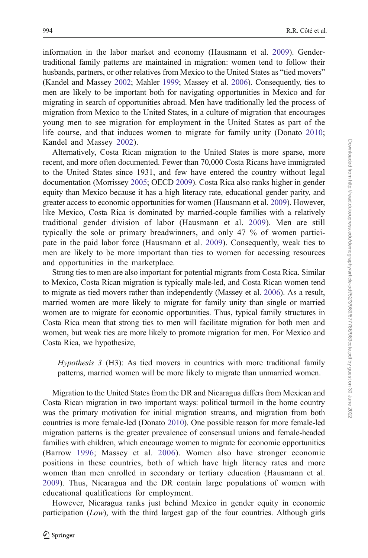information in the labor market and economy (Hausmann et al. [2009\)](#page-25-0). Gendertraditional family patterns are maintained in migration: women tend to follow their husbands, partners, or other relatives from Mexico to the United States as "tied movers" (Kandel and Massey [2002](#page-25-0); Mahler [1999;](#page-25-0) Massey et al. [2006\)](#page-26-0). Consequently, ties to men are likely to be important both for navigating opportunities in Mexico and for migrating in search of opportunities abroad. Men have traditionally led the process of migration from Mexico to the United States, in a culture of migration that encourages young men to see migration for employment in the United States as part of the life course, and that induces women to migrate for family unity (Donato [2010;](#page-25-0) Kandel and Massey [2002\)](#page-25-0).

Alternatively, Costa Rican migration to the United States is more sparse, more recent, and more often documented. Fewer than 70,000 Costa Ricans have immigrated to the United States since 1931, and few have entered the country without legal documentation (Morrissey [2005;](#page-26-0) OECD [2009\)](#page-26-0). Costa Rica also ranks higher in gender equity than Mexico because it has a high literacy rate, educational gender parity, and greater access to economic opportunities for women (Hausmann et al. [2009\)](#page-25-0). However, like Mexico, Costa Rica is dominated by married-couple families with a relatively traditional gender division of labor (Hausmann et al. [2009\)](#page-25-0). Men are still typically the sole or primary breadwinners, and only 47 % of women participate in the paid labor force (Hausmann et al. [2009](#page-25-0)). Consequently, weak ties to men are likely to be more important than ties to women for accessing resources and opportunities in the marketplace.

Strong ties to men are also important for potential migrants from Costa Rica. Similar to Mexico, Costa Rican migration is typically male-led, and Costa Rican women tend to migrate as tied movers rather than independently (Massey et al. [2006\)](#page-26-0). As a result, married women are more likely to migrate for family unity than single or married women are to migrate for economic opportunities. Thus, typical family structures in Costa Rica mean that strong ties to men will facilitate migration for both men and women, but weak ties are more likely to promote migration for men. For Mexico and Costa Rica, we hypothesize,

Hypothesis 3 (H3): As tied movers in countries with more traditional family patterns, married women will be more likely to migrate than unmarried women.

Migration to the United States from the DR and Nicaragua differs from Mexican and Costa Rican migration in two important ways: political turmoil in the home country was the primary motivation for initial migration streams, and migration from both countries is more female-led (Donato [2010\)](#page-25-0). One possible reason for more female-led migration patterns is the greater prevalence of consensual unions and female-headed families with children, which encourage women to migrate for economic opportunities (Barrow [1996](#page-24-0); Massey et al. [2006\)](#page-26-0). Women also have stronger economic positions in these countries, both of which have high literacy rates and more women than men enrolled in secondary or tertiary education (Hausmann et al. [2009](#page-25-0)). Thus, Nicaragua and the DR contain large populations of women with educational qualifications for employment.

However, Nicaragua ranks just behind Mexico in gender equity in economic participation (Low), with the third largest gap of the four countries. Although girls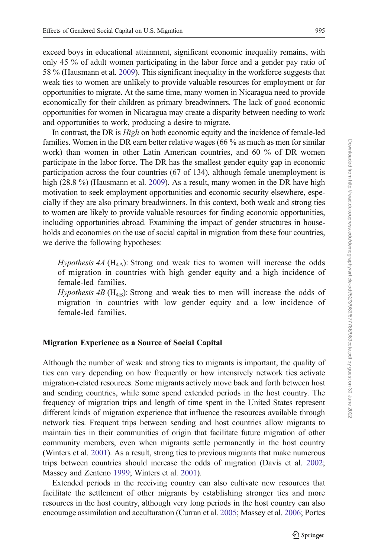exceed boys in educational attainment, significant economic inequality remains, with only 45 % of adult women participating in the labor force and a gender pay ratio of 58 % (Hausmann et al. [2009](#page-25-0)). This significant inequality in the workforce suggests that weak ties to women are unlikely to provide valuable resources for employment or for opportunities to migrate. At the same time, many women in Nicaragua need to provide economically for their children as primary breadwinners. The lack of good economic opportunities for women in Nicaragua may create a disparity between needing to work and opportunities to work, producing a desire to migrate.

In contrast, the DR is High on both economic equity and the incidence of female-led families. Women in the DR earn better relative wages (66 % as much as men for similar work) than women in other Latin American countries, and 60 % of DR women participate in the labor force. The DR has the smallest gender equity gap in economic participation across the four countries (67 of 134), although female unemployment is high (28.8 %) (Hausmann et al. [2009](#page-25-0)). As a result, many women in the DR have high motivation to seek employment opportunities and economic security elsewhere, especially if they are also primary breadwinners. In this context, both weak and strong ties to women are likely to provide valuable resources for finding economic opportunities, including opportunities abroad. Examining the impact of gender structures in households and economies on the use of social capital in migration from these four countries, we derive the following hypotheses:

*Hypothesis 4A* ( $H_{4A}$ ): Strong and weak ties to women will increase the odds of migration in countries with high gender equity and a high incidence of female-led families.

*Hypothesis 4B* ( $H_{4B}$ ): Strong and weak ties to men will increase the odds of migration in countries with low gender equity and a low incidence of female-led families.

### Migration Experience as a Source of Social Capital

Although the number of weak and strong ties to migrants is important, the quality of ties can vary depending on how frequently or how intensively network ties activate migration-related resources. Some migrants actively move back and forth between host and sending countries, while some spend extended periods in the host country. The frequency of migration trips and length of time spent in the United States represent different kinds of migration experience that influence the resources available through network ties. Frequent trips between sending and host countries allow migrants to maintain ties in their communities of origin that facilitate future migration of other community members, even when migrants settle permanently in the host country (Winters et al. [2001](#page-26-0)). As a result, strong ties to previous migrants that make numerous trips between countries should increase the odds of migration (Davis et al. [2002;](#page-25-0) Massey and Zenteno [1999;](#page-26-0) Winters et al. [2001](#page-26-0)).

Extended periods in the receiving country can also cultivate new resources that facilitate the settlement of other migrants by establishing stronger ties and more resources in the host country, although very long periods in the host country can also encourage assimilation and acculturation (Curran et al. [2005;](#page-25-0) Massey et al. [2006](#page-26-0); Portes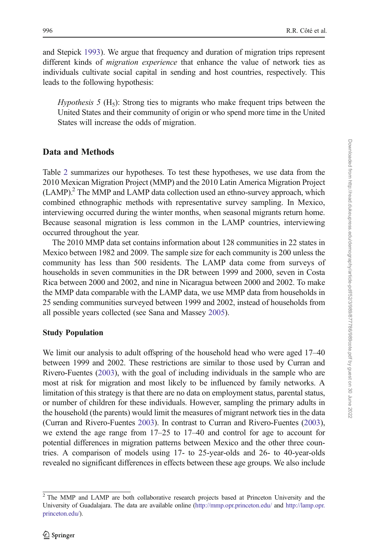and Stepick [1993\)](#page-26-0). We argue that frequency and duration of migration trips represent different kinds of migration experience that enhance the value of network ties as individuals cultivate social capital in sending and host countries, respectively. This leads to the following hypothesis:

*Hypothesis* 5 (H<sub>5</sub>): Strong ties to migrants who make frequent trips between the United States and their community of origin or who spend more time in the United States will increase the odds of migration.

# Data and Methods

Table [2](#page-8-0) summarizes our hypotheses. To test these hypotheses, we use data from the 2010 Mexican Migration Project (MMP) and the 2010 Latin America Migration Project (LAMP).2 The MMP and LAMP data collection used an ethno-survey approach, which combined ethnographic methods with representative survey sampling. In Mexico, interviewing occurred during the winter months, when seasonal migrants return home. Because seasonal migration is less common in the LAMP countries, interviewing occurred throughout the year.

The 2010 MMP data set contains information about 128 communities in 22 states in Mexico between 1982 and 2009. The sample size for each community is 200 unless the community has less than 500 residents. The LAMP data come from surveys of households in seven communities in the DR between 1999 and 2000, seven in Costa Rica between 2000 and 2002, and nine in Nicaragua between 2000 and 2002. To make the MMP data comparable with the LAMP data, we use MMP data from households in 25 sending communities surveyed between 1999 and 2002, instead of households from all possible years collected (see Sana and Massey [2005\)](#page-26-0).

# Study Population

We limit our analysis to adult offspring of the household head who were aged 17–40 between 1999 and 2002. These restrictions are similar to those used by Curran and Rivero-Fuentes [\(2003\)](#page-25-0), with the goal of including individuals in the sample who are most at risk for migration and most likely to be influenced by family networks. A limitation of this strategy is that there are no data on employment status, parental status, or number of children for these individuals. However, sampling the primary adults in the household (the parents) would limit the measures of migrant network ties in the data (Curran and Rivero-Fuentes [2003](#page-25-0)). In contrast to Curran and Rivero-Fuentes [\(2003\)](#page-25-0), we extend the age range from 17–25 to 17–40 and control for age to account for potential differences in migration patterns between Mexico and the other three countries. A comparison of models using 17- to 25-year-olds and 26- to 40-year-olds revealed no significant differences in effects between these age groups. We also include Downloaded from http://read.dukeupress.edu/demography/article-pdf52/3/989/877786/989cote.pdf by guest on 30 June 202: Downloaded from http://read.dukeupress.edu/demography/article-pdf/52/3/989/877786/989cote.pdf by guest on 30 June 2022

<sup>&</sup>lt;sup>2</sup> The MMP and LAMP are both collaborative research projects based at Princeton University and the University of Guadalajara. The data are available online [\(http://mmp.opr.princeton.edu/](http://mmp.opr.princeton.edu/) and [http://lamp.opr.](http://lamp.opr.princeton.edu/) [princeton.edu/\)](http://lamp.opr.princeton.edu/).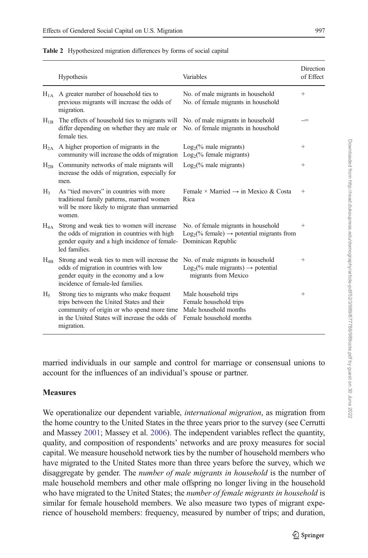|                      | Hypothesis                                                                                                                                                                                           | Variables                                                                                                            | Direction<br>of Effect |
|----------------------|------------------------------------------------------------------------------------------------------------------------------------------------------------------------------------------------------|----------------------------------------------------------------------------------------------------------------------|------------------------|
| $H_{1A}$             | A greater number of household ties to<br>previous migrants will increase the odds of<br>migration.                                                                                                   | No. of male migrants in household<br>No. of female migrants in household                                             | $^{+}$                 |
| $H_{1B}$             | The effects of household ties to migrants will<br>differ depending on whether they are male or<br>female ties                                                                                        | No. of male migrants in household<br>No. of female migrants in household                                             | $\sim$                 |
| $H_{2A}$             | A higher proportion of migrants in the<br>community will increase the odds of migration                                                                                                              | $Log2(\%$ male migrants)<br>$Log2(\%$ female migrants)                                                               | $^{+}$                 |
| $H_{2B}$             | Community networks of male migrants will<br>increase the odds of migration, especially for<br>men.                                                                                                   | $Log2(\%$ male migrants)                                                                                             | $^{+}$                 |
| H <sub>3</sub>       | As "tied movers" in countries with more<br>traditional family patterns, married women<br>will be more likely to migrate than unmarried<br>women.                                                     | Female × Married $\rightarrow$ in Mexico & Costa<br>Rica                                                             | $^{+}$                 |
| $\rm{H}_{4\,\rm{A}}$ | Strong and weak ties to women will increase<br>the odds of migration in countries with high<br>gender equity and a high incidence of female-<br>led families.                                        | No. of female migrants in household<br>$Log2(\%$ female) $\rightarrow$ potential migrants from<br>Dominican Republic | $^{+}$                 |
| $H_{4B}$             | Strong and weak ties to men will increase the<br>odds of migration in countries with low<br>gender equity in the economy and a low<br>incidence of female-led families.                              | No. of male migrants in household<br>$Log_2(\%$ male migrants) $\rightarrow$ potential<br>migrants from Mexico       | $^{+}$                 |
| $H_5$                | Strong ties to migrants who make frequent<br>trips between the United States and their<br>community of origin or who spend more time<br>in the United States will increase the odds of<br>migration. | Male household trips<br>Female household trips<br>Male household months<br>Female household months                   | $^+$                   |

<span id="page-8-0"></span>Table 2 Hypothesized migration differences by forms of social capital

married individuals in our sample and control for marriage or consensual unions to account for the influences of an individual's spouse or partner.

### **Measures**

We operationalize our dependent variable, *international migration*, as migration from the home country to the United States in the three years prior to the survey (see Cerrutti and Massey [2001;](#page-25-0) Massey et al. [2006](#page-26-0)). The independent variables reflect the quantity, quality, and composition of respondents' networks and are proxy measures for social capital. We measure household network ties by the number of household members who have migrated to the United States more than three years before the survey, which we disaggregate by gender. The number of male migrants in household is the number of male household members and other male offspring no longer living in the household who have migrated to the United States; the *number of female migrants in household* is similar for female household members. We also measure two types of migrant experience of household members: frequency, measured by number of trips; and duration,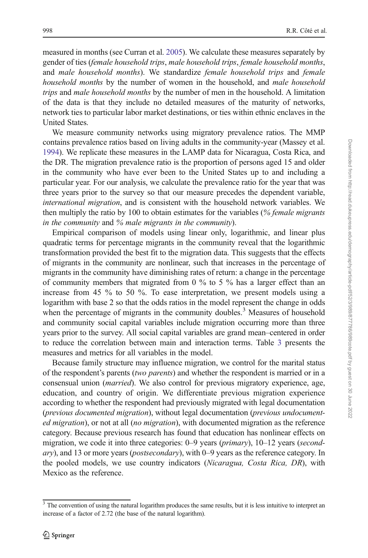measured in months (see Curran et al. [2005\)](#page-25-0). We calculate these measures separately by gender of ties (female household trips, male household trips, female household months, and male household months). We standardize female household trips and female household months by the number of women in the household, and *male household* trips and male household months by the number of men in the household. A limitation of the data is that they include no detailed measures of the maturity of networks, network ties to particular labor market destinations, or ties within ethnic enclaves in the United States.

We measure community networks using migratory prevalence ratios. The MMP contains prevalence ratios based on living adults in the community-year (Massey et al. [1994\)](#page-26-0). We replicate these measures in the LAMP data for Nicaragua, Costa Rica, and the DR. The migration prevalence ratio is the proportion of persons aged 15 and older in the community who have ever been to the United States up to and including a particular year. For our analysis, we calculate the prevalence ratio for the year that was three years prior to the survey so that our measure precedes the dependent variable, international migration, and is consistent with the household network variables. We then multiply the ratio by 100 to obtain estimates for the variables (% female migrants in the community and % male migrants in the community).

Empirical comparison of models using linear only, logarithmic, and linear plus quadratic terms for percentage migrants in the community reveal that the logarithmic transformation provided the best fit to the migration data. This suggests that the effects of migrants in the community are nonlinear, such that increases in the percentage of migrants in the community have diminishing rates of return: a change in the percentage of community members that migrated from 0 % to 5 % has a larger effect than an increase from 45 % to 50 %. To ease interpretation, we present models using a logarithm with base 2 so that the odds ratios in the model represent the change in odds when the percentage of migrants in the community doubles.<sup>3</sup> Measures of household and community social capital variables include migration occurring more than three years prior to the survey. All social capital variables are grand mean–centered in order to reduce the correlation between main and interaction terms. Table [3](#page-10-0) presents the measures and metrics for all variables in the model.

Because family structure may influence migration, we control for the marital status of the respondent's parents (two parents) and whether the respondent is married or in a consensual union (married). We also control for previous migratory experience, age, education, and country of origin. We differentiate previous migration experience according to whether the respondent had previously migrated with legal documentation (previous documented migration), without legal documentation (previous undocumented migration), or not at all (no migration), with documented migration as the reference category. Because previous research has found that education has nonlinear effects on migration, we code it into three categories:  $0-9$  years (*primary*),  $10-12$  years (*second*ary), and 13 or more years (postsecondary), with 0–9 years as the reference category. In the pooled models, we use country indicators (Nicaragua, Costa Rica, DR), with Mexico as the reference.

 $3$  The convention of using the natural logarithm produces the same results, but it is less intuitive to interpret an increase of a factor of 2.72 (the base of the natural logarithm).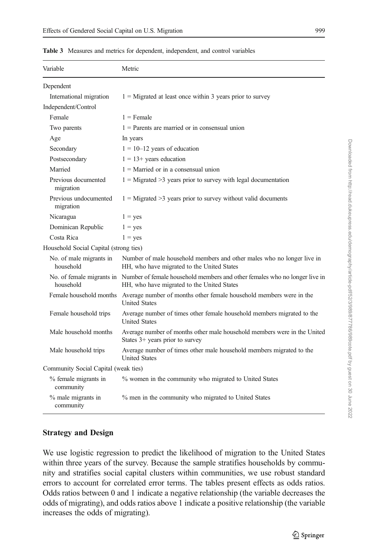| Variable                               | Metric                                                                                                                                             |
|----------------------------------------|----------------------------------------------------------------------------------------------------------------------------------------------------|
| Dependent                              |                                                                                                                                                    |
| International migration                | $1 =$ Migrated at least once within 3 years prior to survey                                                                                        |
| Independent/Control                    |                                                                                                                                                    |
| Female                                 | $1$ = Female                                                                                                                                       |
| Two parents                            | $1$ = Parents are married or in consensual union                                                                                                   |
| Age                                    | In years                                                                                                                                           |
| Secondary                              | $1 = 10 - 12$ years of education                                                                                                                   |
| Postsecondary                          | $1 = 13 + \text{ years}$ education                                                                                                                 |
| Married                                | $1 =$ Married or in a consensual union                                                                                                             |
| Previous documented<br>migration       | $1 =$ Migrated >3 years prior to survey with legal documentation                                                                                   |
| Previous undocumented<br>migration     | $1 =$ Migrated >3 years prior to survey without valid documents                                                                                    |
| Nicaragua                              | $1 = yes$                                                                                                                                          |
| Dominican Republic                     | $1 = yes$                                                                                                                                          |
| Costa Rica                             | $1 = yes$                                                                                                                                          |
| Household Social Capital (strong ties) |                                                                                                                                                    |
| No. of male migrants in<br>household   | Number of male household members and other males who no longer live in<br>HH, who have migrated to the United States                               |
| household                              | No. of female migrants in Number of female household members and other females who no longer live in<br>HH, who have migrated to the United States |
| Female household months                | Average number of months other female household members were in the<br><b>United States</b>                                                        |
| Female household trips                 | Average number of times other female household members migrated to the<br><b>United States</b>                                                     |
| Male household months                  | Average number of months other male household members were in the United<br>States $3+$ years prior to survey                                      |
| Male household trips                   | Average number of times other male household members migrated to the<br><b>United States</b>                                                       |
| Community Social Capital (weak ties)   |                                                                                                                                                    |
| % female migrants in<br>community      | % women in the community who migrated to United States                                                                                             |
| % male migrants in<br>community        | % men in the community who migrated to United States                                                                                               |

<span id="page-10-0"></span>Table 3 Measures and metrics for dependent, independent, and control variables

# Strategy and Design

We use logistic regression to predict the likelihood of migration to the United States within three years of the survey. Because the sample stratifies households by community and stratifies social capital clusters within communities, we use robust standard errors to account for correlated error terms. The tables present effects as odds ratios. Odds ratios between 0 and 1 indicate a negative relationship (the variable decreases the odds of migrating), and odds ratios above 1 indicate a positive relationship (the variable increases the odds of migrating).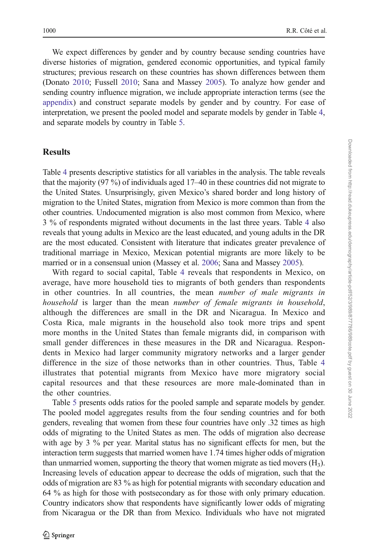We expect differences by gender and by country because sending countries have diverse histories of migration, gendered economic opportunities, and typical family structures; previous research on these countries has shown differences between them (Donato [2010](#page-25-0); Fussell [2010](#page-25-0); Sana and Massey [2005](#page-26-0)). To analyze how gender and sending country influence migration, we include appropriate interaction terms (see the [appendix](#page-21-0)) and construct separate models by gender and by country. For ease of interpretation, we present the pooled model and separate models by gender in Table [4,](#page-12-0) and separate models by country in Table [5](#page-14-0).

# **Results**

Table [4](#page-12-0) presents descriptive statistics for all variables in the analysis. The table reveals that the majority (97 %) of individuals aged 17–40 in these countries did not migrate to the United States. Unsurprisingly, given Mexico's shared border and long history of migration to the United States, migration from Mexico is more common than from the other countries. Undocumented migration is also most common from Mexico, where 3 % of respondents migrated without documents in the last three years. Table [4](#page-12-0) also reveals that young adults in Mexico are the least educated, and young adults in the DR are the most educated. Consistent with literature that indicates greater prevalence of traditional marriage in Mexico, Mexican potential migrants are more likely to be married or in a consensual union (Massey et al. [2006;](#page-26-0) Sana and Massey [2005](#page-26-0)).

With regard to social capital, Table [4](#page-12-0) reveals that respondents in Mexico, on average, have more household ties to migrants of both genders than respondents in other countries. In all countries, the mean number of male migrants in household is larger than the mean number of female migrants in household, although the differences are small in the DR and Nicaragua. In Mexico and Costa Rica, male migrants in the household also took more trips and spent more months in the United States than female migrants did, in comparison with small gender differences in these measures in the DR and Nicaragua. Respondents in Mexico had larger community migratory networks and a larger gender difference in the size of those networks than in other countries. Thus, Table [4](#page-12-0) illustrates that potential migrants from Mexico have more migratory social capital resources and that these resources are more male-dominated than in the other countries.

Table [5](#page-14-0) presents odds ratios for the pooled sample and separate models by gender. The pooled model aggregates results from the four sending countries and for both genders, revealing that women from these four countries have only .32 times as high odds of migrating to the United States as men. The odds of migration also decrease with age by 3 % per year. Marital status has no significant effects for men, but the interaction term suggests that married women have 1.74 times higher odds of migration than unmarried women, supporting the theory that women migrate as tied movers  $(H_3)$ . Increasing levels of education appear to decrease the odds of migration, such that the odds of migration are 83 % as high for potential migrants with secondary education and 64 % as high for those with postsecondary as for those with only primary education. Country indicators show that respondents have significantly lower odds of migrating from Nicaragua or the DR than from Mexico. Individuals who have not migrated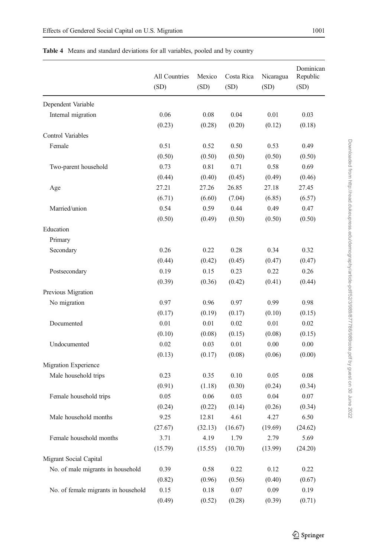| . . |  |
|-----|--|
|     |  |

|                                     | All Countries<br>(SD) | Mexico<br>(SD) | Costa Rica<br>(SD) | Nicaragua<br>(SD) | Dominican<br>Republic<br>(SD) |
|-------------------------------------|-----------------------|----------------|--------------------|-------------------|-------------------------------|
| Dependent Variable                  |                       |                |                    |                   |                               |
| Internal migration                  | 0.06                  | 0.08           | 0.04               | 0.01              | 0.03                          |
|                                     | (0.23)                | (0.28)         | (0.20)             | (0.12)            | (0.18)                        |
| Control Variables                   |                       |                |                    |                   |                               |
| Female                              | 0.51                  | 0.52           | 0.50               | 0.53              | 0.49                          |
|                                     | (0.50)                | (0.50)         | (0.50)             | (0.50)            | (0.50)                        |
| Two-parent household                | 0.73                  | 0.81           | 0.71               | 0.58              | 0.69                          |
|                                     | (0.44)                | (0.40)         | (0.45)             | (0.49)            | (0.46)                        |
| Age                                 | 27.21                 | 27.26          | 26.85              | 27.18             | 27.45                         |
|                                     | (6.71)                | (6.60)         | (7.04)             | (6.85)            | (6.57)                        |
| Married/union                       | 0.54                  | 0.59           | 0.44               | 0.49              | 0.47                          |
|                                     | (0.50)                | (0.49)         | (0.50)             | (0.50)            | (0.50)                        |
| Education                           |                       |                |                    |                   |                               |
| Primary                             |                       |                |                    |                   |                               |
| Secondary                           | 0.26                  | 0.22           | 0.28               | 0.34              | 0.32                          |
|                                     | (0.44)                | (0.42)         | (0.45)             | (0.47)            | (0.47)                        |
| Postsecondary                       | 0.19                  | 0.15           | 0.23               | 0.22              | 0.26                          |
|                                     | (0.39)                | (0.36)         | (0.42)             | (0.41)            | (0.44)                        |
| Previous Migration                  |                       |                |                    |                   |                               |
| No migration                        | 0.97                  | 0.96           | 0.97               | 0.99              | 0.98                          |
|                                     | (0.17)                | (0.19)         | (0.17)             | (0.10)            | (0.15)                        |
| Documented                          | 0.01                  | 0.01           | 0.02               | 0.01              | 0.02                          |
|                                     | (0.10)                | (0.08)         | (0.15)             | (0.08)            | (0.15)                        |
| Undocumented                        | 0.02                  | 0.03           | 0.01               | 0.00              | 0.00                          |
|                                     | (0.13)                | (0.17)         | (0.08)             | (0.06)            | (0.00)                        |
| Migration Experience                |                       |                |                    |                   |                               |
| Male household trips                | 0.23                  | 0.35           | 0.10               | 0.05              | 0.08                          |
|                                     | (0.91)                | (1.18)         | (0.30)             | (0.24)            | (0.34)                        |
| Female household trips              | 0.05                  | 0.06           | 0.03               | 0.04              | 0.07                          |
|                                     | (0.24)                | (0.22)         | (0.14)             | (0.26)            | (0.34)                        |
| Male household months               | 9.25                  | 12.81          | 4.61               | 4.27              | 6.50                          |
|                                     | (27.67)               | (32.13)        | (16.67)            | (19.69)           | (24.62)                       |
| Female household months             | 3.71                  | 4.19           | 1.79               | 2.79              | 5.69                          |
|                                     | (15.79)               | (15.55)        | (10.70)            | (13.99)           | (24.20)                       |
| Migrant Social Capital              |                       |                |                    |                   |                               |
| No. of male migrants in household   | 0.39                  | 0.58           | 0.22               | 0.12              | 0.22                          |
|                                     | (0.82)                | (0.96)         | (0.56)             | (0.40)            | (0.67)                        |
| No. of female migrants in household | 0.15                  | 0.18           | 0.07               | 0.09              | 0.19                          |
|                                     | (0.49)                | (0.52)         | (0.28)             | (0.39)            | (0.71)                        |

### <span id="page-12-0"></span>Table 4 Means and standard deviations for all variables, pooled and by country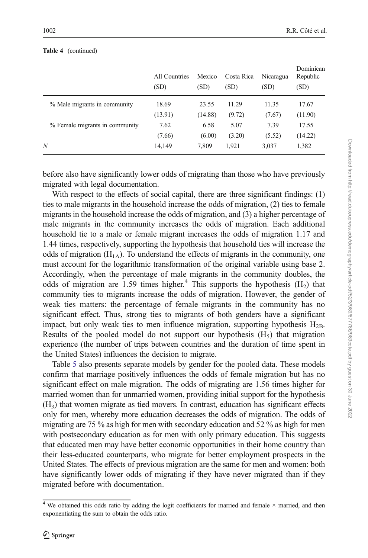|                                | All Countries<br>(SD) | Mexico<br>(SD) | Costa Rica<br>(SD) | Nicaragua<br>(SD) | Dominican<br>Republic<br>(SD) |
|--------------------------------|-----------------------|----------------|--------------------|-------------------|-------------------------------|
| % Male migrants in community   | 18.69                 | 23.55          | 11.29              | 11.35             | 17.67                         |
|                                | (13.91)               | (14.88)        | (9.72)             | (7.67)            | (11.90)                       |
| % Female migrants in community | 7.62                  | 6.58           | 5.07               | 7.39              | 17.55                         |
|                                | (7.66)                | (6.00)         | (3.20)             | (5.52)            | (14.22)                       |
| N                              | 14,149                | 7.809          | 1,921              | 3,037             | 1,382                         |

#### Table 4 (continued)

before also have significantly lower odds of migrating than those who have previously migrated with legal documentation.

With respect to the effects of social capital, there are three significant findings: (1) ties to male migrants in the household increase the odds of migration, (2) ties to female migrants in the household increase the odds of migration, and (3) a higher percentage of male migrants in the community increases the odds of migration. Each additional household tie to a male or female migrant increases the odds of migration 1.17 and 1.44 times, respectively, supporting the hypothesis that household ties will increase the odds of migration  $(H<sub>1A</sub>)$ . To understand the effects of migrants in the community, one must account for the logarithmic transformation of the original variable using base 2. Accordingly, when the percentage of male migrants in the community doubles, the odds of migration are 1.59 times higher.<sup>4</sup> This supports the hypothesis  $(H<sub>2</sub>)$  that community ties to migrants increase the odds of migration. However, the gender of weak ties matters: the percentage of female migrants in the community has no significant effect. Thus, strong ties to migrants of both genders have a significant impact, but only weak ties to men influence migration, supporting hypothesis  $H_{2B}$ . Results of the pooled model do not support our hypothesis  $(H_5)$  that migration experience (the number of trips between countries and the duration of time spent in the United States) influences the decision to migrate.

Table [5](#page-14-0) also presents separate models by gender for the pooled data. These models confirm that marriage positively influences the odds of female migration but has no significant effect on male migration. The odds of migrating are 1.56 times higher for married women than for unmarried women, providing initial support for the hypothesis  $(H<sub>3</sub>)$  that women migrate as tied movers. In contrast, education has significant effects only for men, whereby more education decreases the odds of migration. The odds of migrating are 75 % as high for men with secondary education and 52 % as high for men with postsecondary education as for men with only primary education. This suggests that educated men may have better economic opportunities in their home country than their less-educated counterparts, who migrate for better employment prospects in the United States. The effects of previous migration are the same for men and women: both have significantly lower odds of migrating if they have never migrated than if they migrated before with documentation.

 $4$  We obtained this odds ratio by adding the logit coefficients for married and female  $\times$  married, and then exponentiating the sum to obtain the odds ratio.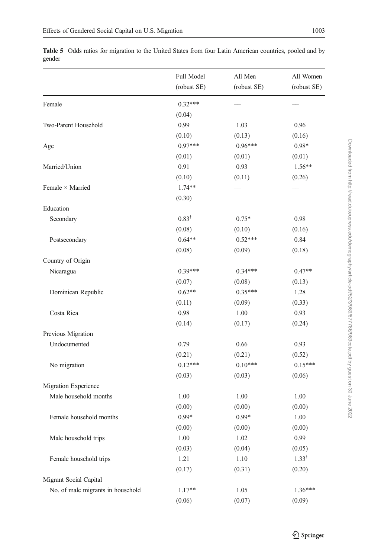|                                   | Full Model<br>(robust SE) | All Men<br>(robust SE) | All Women<br>(robust SE) |
|-----------------------------------|---------------------------|------------------------|--------------------------|
| Female                            | $0.32***$                 |                        |                          |
|                                   | (0.04)                    |                        |                          |
| Two-Parent Household              | 0.99                      | 1.03                   | 0.96                     |
|                                   | (0.10)                    | (0.13)                 | (0.16)                   |
| Age                               | $0.97***$                 | $0.96***$              | $0.98*$                  |
|                                   | (0.01)                    | (0.01)                 | (0.01)                   |
| Married/Union                     | 0.91                      | 0.93                   | $1.56**$                 |
|                                   | (0.10)                    | (0.11)                 | (0.26)                   |
| Female × Married                  | $1.74**$                  |                        |                          |
|                                   | (0.30)                    |                        |                          |
| Education                         |                           |                        |                          |
| Secondary                         | $0.83^{\dagger}$          | $0.75*$                | 0.98                     |
|                                   | (0.08)                    | (0.10)                 | (0.16)                   |
| Postsecondary                     | $0.64**$                  | $0.52***$              | 0.84                     |
|                                   | (0.08)                    | (0.09)                 | (0.18)                   |
| Country of Origin                 |                           |                        |                          |
| Nicaragua                         | $0.39***$                 | $0.34***$              | $0.47**$                 |
|                                   | (0.07)                    | (0.08)                 | (0.13)                   |
| Dominican Republic                | $0.62**$                  | $0.35***$              | 1.28                     |
|                                   | (0.11)                    | (0.09)                 | (0.33)                   |
| Costa Rica                        | 0.98                      | 1.00                   | 0.93                     |
|                                   | (0.14)                    | (0.17)                 | (0.24)                   |
| Previous Migration                |                           |                        |                          |
| Undocumented                      | 0.79                      | 0.66                   | 0.93                     |
|                                   | (0.21)                    | (0.21)                 | (0.52)                   |
| No migration                      | $0.12***$                 | $0.10***$              | $0.15***$                |
|                                   | (0.03)                    | (0.03)                 | (0.06)                   |
| Migration Experience              |                           |                        |                          |
| Male household months             | 1.00                      | 1.00                   | 1.00                     |
|                                   | (0.00)                    | (0.00)                 | (0.00)                   |
| Female household months           | $0.99*$                   | $0.99*$                | 1.00                     |
|                                   | (0.00)                    | (0.00)                 | (0.00)                   |
| Male household trips              | 1.00                      | 1.02                   | 0.99                     |
|                                   | (0.03)                    | (0.04)                 | (0.05)                   |
| Female household trips            | 1.21                      | 1.10                   | $1.33^{\dagger}$         |
|                                   | (0.17)                    | (0.31)                 | (0.20)                   |
| Migrant Social Capital            |                           |                        |                          |
| No. of male migrants in household | $1.17**$                  | 1.05                   | 1.36***                  |
|                                   | (0.06)                    | (0.07)                 | (0.09)                   |

<span id="page-14-0"></span>Table 5 Odds ratios for migration to the United States from four Latin American countries, pooled and by gender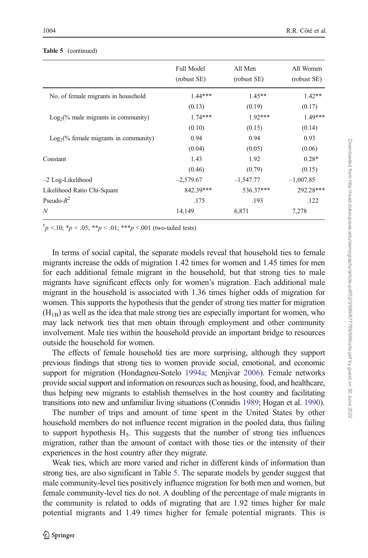|                                         | <b>Full Model</b><br>(robust SE) | All Men<br>(robust SE) | All Women<br>(robust SE) |
|-----------------------------------------|----------------------------------|------------------------|--------------------------|
| No. of female migrants in household     | $1.44***$                        | $1.45**$               | $1.42**$                 |
|                                         | (0.13)                           | (0.19)                 | (0.17)                   |
| $Log2(\%$ male migrants in community)   | $1.74***$                        | $1.92***$              | $1.49***$                |
|                                         | (0.10)                           | (0.15)                 | (0.14)                   |
| $Log2(\%$ female migrants in community) | 0.94                             | 0.94                   | 0.93                     |
|                                         | (0.04)                           | (0.05)                 | (0.06)                   |
| Constant                                | 1.43                             | 1.92                   | $0.28*$                  |
|                                         | (0.46)                           | (0.79)                 | (0.15)                   |
| $-2$ Log-Likelihood                     | $-2,579.67$                      | $-1,547.77$            | $-1,007.85$              |
| Likelihood Ratio Chi-Square             | 842.39***                        | 536.37***              | 292.28***                |
| Pseudo- $R^2$                           | .175                             | .193                   | .122                     |
| N                                       | 14,149                           | 6,871                  | 7,278                    |

#### Table 5 (continued)

 $\phi$ <sup>†</sup> $p$  <.10; \* $p$  < .05; \*\* $p$  < .01; \*\*\* $p$  <.001 (two-tailed tests)

In terms of social capital, the separate models reveal that household ties to female migrants increase the odds of migration 1.42 times for women and 1.45 times for men for each additional female migrant in the household, but that strong ties to male migrants have significant effects only for women's migration. Each additional male migrant in the household is associated with 1.36 times higher odds of migration for women. This supports the hypothesis that the gender of strong ties matter for migration  $(H_{1B})$  as well as the idea that male strong ties are especially important for women, who may lack network ties that men obtain through employment and other community involvement. Male ties within the household provide an important bridge to resources outside the household for women.

The effects of female household ties are more surprising, although they support previous findings that strong ties to women provide social, emotional, and economic support for migration (Hondagneu-Sotelo [1994a;](#page-25-0) Menjivar [2006\)](#page-26-0). Female networks provide social support and information on resources such as housing, food, and healthcare, thus helping new migrants to establish themselves in the host country and facilitating transitions into new and unfamiliar living situations (Connidis [1989;](#page-25-0) Hogan et al. [1990](#page-25-0)).

The number of trips and amount of time spent in the United States by other household members do not influence recent migration in the pooled data, thus failing to support hypothesis  $H_5$ . This suggests that the number of strong ties influences migration, rather than the amount of contact with those ties or the intensity of their experiences in the host country after they migrate.

Weak ties, which are more varied and richer in different kinds of information than strong ties, are also significant in Table [5.](#page-14-0) The separate models by gender suggest that male community-level ties positively influence migration for both men and women, but female community-level ties do not. A doubling of the percentage of male migrants in the community is related to odds of migrating that are 1.92 times higher for male potential migrants and 1.49 times higher for female potential migrants. This is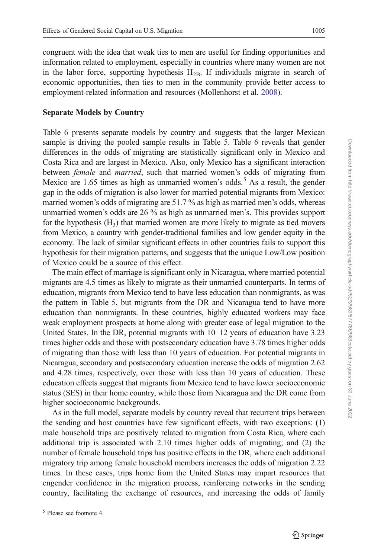congruent with the idea that weak ties to men are useful for finding opportunities and information related to employment, especially in countries where many women are not in the labor force, supporting hypothesis  $H_{2B}$ . If individuals migrate in search of economic opportunities, then ties to men in the community provide better access to employment-related information and resources (Mollenhorst et al. [2008\)](#page-26-0).

### Separate Models by Country

Table [6](#page-17-0) presents separate models by country and suggests that the larger Mexican sample is driving the pooled sample results in Table [5](#page-14-0). Table [6](#page-17-0) reveals that gender differences in the odds of migrating are statistically significant only in Mexico and Costa Rica and are largest in Mexico. Also, only Mexico has a significant interaction between female and married, such that married women's odds of migrating from Mexico are  $1.65$  times as high as unmarried women's odds.<sup>5</sup> As a result, the gender gap in the odds of migration is also lower for married potential migrants from Mexico: married women's odds of migrating are 51.7 % as high as married men's odds, whereas unmarried women's odds are 26 % as high as unmarried men's. This provides support for the hypothesis  $(H_3)$  that married women are more likely to migrate as tied movers from Mexico, a country with gender-traditional families and low gender equity in the economy. The lack of similar significant effects in other countries fails to support this hypothesis for their migration patterns, and suggests that the unique Low/Low position of Mexico could be a source of this effect.

The main effect of marriage is significant only in Nicaragua, where married potential migrants are 4.5 times as likely to migrate as their unmarried counterparts. In terms of education, migrants from Mexico tend to have less education than nonmigrants, as was the pattern in Table [5](#page-14-0), but migrants from the DR and Nicaragua tend to have more education than nonmigrants. In these countries, highly educated workers may face weak employment prospects at home along with greater ease of legal migration to the United States. In the DR, potential migrants with 10–12 years of education have 3.23 times higher odds and those with postsecondary education have 3.78 times higher odds of migrating than those with less than 10 years of education. For potential migrants in Nicaragua, secondary and postsecondary education increase the odds of migration 2.62 and 4.28 times, respectively, over those with less than 10 years of education. These education effects suggest that migrants from Mexico tend to have lower socioeconomic status (SES) in their home country, while those from Nicaragua and the DR come from higher socioeconomic backgrounds.

As in the full model, separate models by country reveal that recurrent trips between the sending and host countries have few significant effects, with two exceptions: (1) male household trips are positively related to migration from Costa Rica, where each additional trip is associated with 2.10 times higher odds of migrating; and (2) the number of female household trips has positive effects in the DR, where each additional migratory trip among female household members increases the odds of migration 2.22 times. In these cases, trips home from the United States may impart resources that engender confidence in the migration process, reinforcing networks in the sending country, facilitating the exchange of resources, and increasing the odds of family

<sup>5</sup> Please see footnote 4.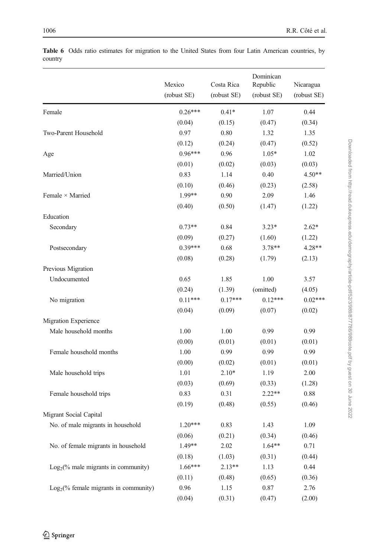|                                         | Mexico<br>(robust SE) | Costa Rica<br>(robust SE) | Dominican<br>Republic<br>(robust SE) | Nicaragua<br>(robust SE) |
|-----------------------------------------|-----------------------|---------------------------|--------------------------------------|--------------------------|
| Female                                  | $0.26***$             | $0.41*$                   | 1.07                                 | 0.44                     |
|                                         | (0.04)                | (0.15)                    | (0.47)                               | (0.34)                   |
| Two-Parent Household                    | 0.97                  | 0.80                      | 1.32                                 | 1.35                     |
|                                         | (0.12)                | (0.24)                    | (0.47)                               | (0.52)                   |
| Age                                     | $0.96***$             | 0.96                      | $1.05*$                              | 1.02                     |
|                                         | (0.01)                | (0.02)                    | (0.03)                               | (0.03)                   |
| Married/Union                           | 0.83                  | 1.14                      | 0.40                                 | $4.50**$                 |
|                                         | (0.10)                | (0.46)                    | (0.23)                               | (2.58)                   |
| Female $\times$ Married                 | 1.99**                | 0.90                      | 2.09                                 | 1.46                     |
|                                         | (0.40)                | (0.50)                    | (1.47)                               | (1.22)                   |
| Education                               |                       |                           |                                      |                          |
| Secondary                               | $0.73**$              | 0.84                      | $3.23*$                              | $2.62*$                  |
|                                         | (0.09)                | (0.27)                    | (1.60)                               | (1.22)                   |
| Postsecondary                           | $0.39***$             | 0.68                      | 3.78**                               | $4.28**$                 |
|                                         | (0.08)                | (0.28)                    | (1.79)                               | (2.13)                   |
| Previous Migration                      |                       |                           |                                      |                          |
| Undocumented                            | 0.65                  | 1.85                      | 1.00                                 | 3.57                     |
|                                         | (0.24)                | (1.39)                    | (omitted)                            | (4.05)                   |
| No migration                            | $0.11***$             | $0.17***$                 | $0.12***$                            | $0.02***$                |
|                                         | (0.04)                | (0.09)                    | (0.07)                               | (0.02)                   |
| Migration Experience                    |                       |                           |                                      |                          |
| Male household months                   | 1.00                  | 1.00                      | 0.99                                 | 0.99                     |
|                                         | (0.00)                | (0.01)                    | (0.01)                               | (0.01)                   |
| Female household months                 | 1.00                  | 0.99                      | 0.99                                 | 0.99                     |
|                                         | (0.00)                | (0.02)                    | (0.01)                               | (0.01)                   |
| Male household trips                    | 1.01                  | $2.10*$                   | 1.19                                 | 2.00                     |
|                                         | (0.03)                | (0.69)                    | (0.33)                               | (1.28)                   |
| Female household trips                  | 0.83                  | 0.31                      | $2.22**$                             | 0.88                     |
|                                         | (0.19)                | (0.48)                    | (0.55)                               | (0.46)                   |
| Migrant Social Capital                  |                       |                           |                                      |                          |
| No. of male migrants in household       | $1.20***$             | 0.83                      | 1.43                                 | 1.09                     |
|                                         | (0.06)                | (0.21)                    | (0.34)                               | (0.46)                   |
| No. of female migrants in household     | 1.49**                | 2.02                      | $1.64**$                             | 0.71                     |
|                                         | (0.18)                | (1.03)                    | (0.31)                               | (0.44)                   |
| $Log2(\%$ male migrants in community)   | $1.66***$             | $2.13**$                  | 1.13                                 | 0.44                     |
|                                         | (0.11)                | (0.48)                    | (0.65)                               | (0.36)                   |
| $Log2(\%$ female migrants in community) | 0.96                  | 1.15                      | 0.87                                 | 2.76                     |
|                                         | (0.04)                | (0.31)                    | (0.47)                               | (2.00)                   |

<span id="page-17-0"></span>Table 6 Odds ratio estimates for migration to the United States from four Latin American countries, by country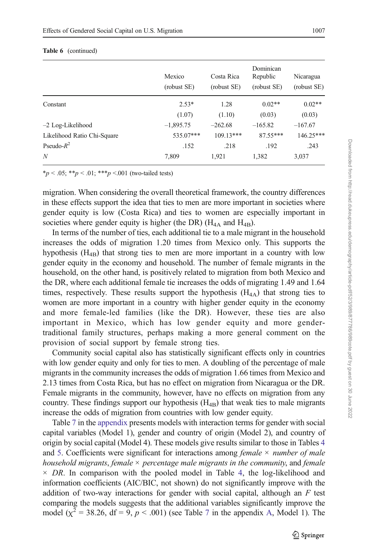|                             | Mexico<br>(robust SE) | Costa Rica<br>(robust SE) | Dominican<br>Republic<br>(robust SE) | Nicaragua<br>(robust SE) |
|-----------------------------|-----------------------|---------------------------|--------------------------------------|--------------------------|
| Constant                    | $2.53*$               | 1.28                      | $0.02**$                             | $0.02**$                 |
|                             | (1.07)                | (1.10)                    | (0.03)                               | (0.03)                   |
| $-2$ Log-Likelihood         | $-1,895.75$           | $-262.68$                 | $-165.82$                            | $-167.67$                |
| Likelihood Ratio Chi-Square | 535.07***             | $109.13***$               | 87.55***                             | 146.25***                |
| Pseudo- $R^2$               | .152                  | .218                      | .192                                 | .243                     |
| N                           | 7,809                 | 1.921                     | 1,382                                | 3,037                    |

 $*_{p}$  < .05;  $*_{p}$  < .01;  $*_{p}$  < .001 (two-tailed tests)

migration. When considering the overall theoretical framework, the country differences in these effects support the idea that ties to men are more important in societies where gender equity is low (Costa Rica) and ties to women are especially important in societies where gender equity is higher (the DR) ( $H_{4A}$  and  $H_{4B}$ ).

In terms of the number of ties, each additional tie to a male migrant in the household increases the odds of migration 1.20 times from Mexico only. This supports the hypothesis  $(H_{4B})$  that strong ties to men are more important in a country with low gender equity in the economy and household. The number of female migrants in the household, on the other hand, is positively related to migration from both Mexico and the DR, where each additional female tie increases the odds of migrating 1.49 and 1.64 times, respectively. These results support the hypothesis  $(H_{4A})$  that strong ties to women are more important in a country with higher gender equity in the economy and more female-led families (like the DR). However, these ties are also important in Mexico, which has low gender equity and more gendertraditional family structures, perhaps making a more general comment on the provision of social support by female strong ties.

Community social capital also has statistically significant effects only in countries with low gender equity and only for ties to men. A doubling of the percentage of male migrants in the community increases the odds of migration 1.66 times from Mexico and 2.13 times from Costa Rica, but has no effect on migration from Nicaragua or the DR. Female migrants in the community, however, have no effects on migration from any country. These findings support our hypothesis  $(H_{4B})$  that weak ties to male migrants increase the odds of migration from countries with low gender equity.

Table [7](#page-21-0) in the [appendix](#page-21-0) presents models with interaction terms for gender with social capital variables (Model 1), gender and country of origin (Model 2), and country of origin by social capital (Model 4). These models give results similar to those in Tables [4](#page-12-0) and [5](#page-14-0). Coefficients were significant for interactions among *female*  $\times$  *number of male* household migrants, female  $\times$  percentage male migrants in the community, and female  $\times$  DR. In comparison with the pooled model in Table [4,](#page-12-0) the log-likelihood and information coefficients (AIC/BIC, not shown) do not significantly improve with the addition of two-way interactions for gender with social capital, although an  $F$  test comparing the models suggests that the additional variables significantly improve the model ( $\chi^2$  = 38.26, df = 9, p < .001) (see Table [7](#page-21-0) in the appendix [A](#page-21-0), Model 1). The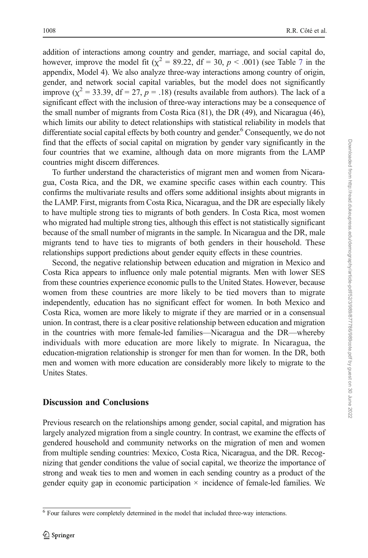addition of interactions among country and gender, marriage, and social capital do, however, improve the model fit ( $\chi^2 = 89.22$ , df = 30, p < .001) (see Table [7](#page-21-0) in the appendix, Model 4). We also analyze three-way interactions among country of origin, gender, and network social capital variables, but the model does not significantly improve ( $\chi^2$  = 33.39, df = 27, p = .18) (results available from authors). The lack of a significant effect with the inclusion of three-way interactions may be a consequence of the small number of migrants from Costa Rica (81), the DR (49), and Nicaragua (46), which limits our ability to detect relationships with statistical reliability in models that differentiate social capital effects by both country and gender.<sup>6</sup> Consequently, we do not find that the effects of social capital on migration by gender vary significantly in the four countries that we examine, although data on more migrants from the LAMP countries might discern differences.

To further understand the characteristics of migrant men and women from Nicaragua, Costa Rica, and the DR, we examine specific cases within each country. This confirms the multivariate results and offers some additional insights about migrants in the LAMP. First, migrants from Costa Rica, Nicaragua, and the DR are especially likely to have multiple strong ties to migrants of both genders. In Costa Rica, most women who migrated had multiple strong ties, although this effect is not statistically significant because of the small number of migrants in the sample. In Nicaragua and the DR, male migrants tend to have ties to migrants of both genders in their household. These relationships support predictions about gender equity effects in these countries.

Second, the negative relationship between education and migration in Mexico and Costa Rica appears to influence only male potential migrants. Men with lower SES from these countries experience economic pulls to the United States. However, because women from these countries are more likely to be tied movers than to migrate independently, education has no significant effect for women. In both Mexico and Costa Rica, women are more likely to migrate if they are married or in a consensual union. In contrast, there is a clear positive relationship between education and migration in the countries with more female-led families—Nicaragua and the DR—whereby individuals with more education are more likely to migrate. In Nicaragua, the education-migration relationship is stronger for men than for women. In the DR, both men and women with more education are considerably more likely to migrate to the Unites States.

# Discussion and Conclusions

Previous research on the relationships among gender, social capital, and migration has largely analyzed migration from a single country. In contrast, we examine the effects of gendered household and community networks on the migration of men and women from multiple sending countries: Mexico, Costa Rica, Nicaragua, and the DR. Recognizing that gender conditions the value of social capital, we theorize the importance of strong and weak ties to men and women in each sending country as a product of the gender equity gap in economic participation  $\times$  incidence of female-led families. We

<sup>&</sup>lt;sup>6</sup> Four failures were completely determined in the model that included three-way interactions.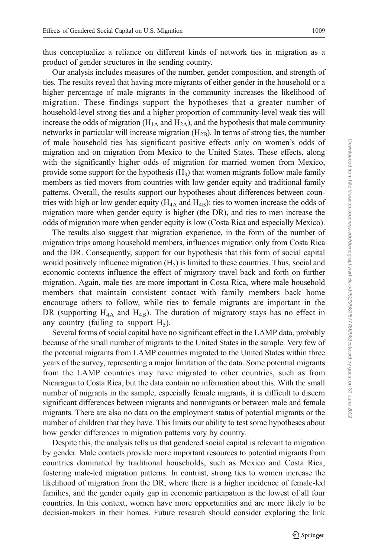thus conceptualize a reliance on different kinds of network ties in migration as a product of gender structures in the sending country.

Our analysis includes measures of the number, gender composition, and strength of ties. The results reveal that having more migrants of either gender in the household or a higher percentage of male migrants in the community increases the likelihood of migration. These findings support the hypotheses that a greater number of household-level strong ties and a higher proportion of community-level weak ties will increase the odds of migration  $(H<sub>1A</sub>$  and  $H<sub>2A</sub>$ ), and the hypothesis that male community networks in particular will increase migration  $(H_{2B})$ . In terms of strong ties, the number of male household ties has significant positive effects only on women's odds of migration and on migration from Mexico to the United States. These effects, along with the significantly higher odds of migration for married women from Mexico, provide some support for the hypothesis  $(H_3)$  that women migrants follow male family members as tied movers from countries with low gender equity and traditional family patterns. Overall, the results support our hypotheses about differences between countries with high or low gender equity  $(H_{4A}$  and  $H_{4B})$ : ties to women increase the odds of migration more when gender equity is higher (the DR), and ties to men increase the odds of migration more when gender equity is low (Costa Rica and especially Mexico).

The results also suggest that migration experience, in the form of the number of migration trips among household members, influences migration only from Costa Rica and the DR. Consequently, support for our hypothesis that this form of social capital would positively influence migration  $(H<sub>5</sub>)$  is limited to these countries. Thus, social and economic contexts influence the effect of migratory travel back and forth on further migration. Again, male ties are more important in Costa Rica, where male household members that maintain consistent contact with family members back home encourage others to follow, while ties to female migrants are important in the DR (supporting  $H_{4A}$  and  $H_{4B}$ ). The duration of migratory stays has no effect in any country (failing to support  $H_5$ ).

Several forms of social capital have no significant effect in the LAMP data, probably because of the small number of migrants to the United States in the sample. Very few of the potential migrants from LAMP countries migrated to the United States within three years of the survey, representing a major limitation of the data. Some potential migrants from the LAMP countries may have migrated to other countries, such as from Nicaragua to Costa Rica, but the data contain no information about this. With the small number of migrants in the sample, especially female migrants, it is difficult to discern significant differences between migrants and nonmigrants or between male and female migrants. There are also no data on the employment status of potential migrants or the number of children that they have. This limits our ability to test some hypotheses about how gender differences in migration patterns vary by country.

Despite this, the analysis tells us that gendered social capital is relevant to migration by gender. Male contacts provide more important resources to potential migrants from countries dominated by traditional households, such as Mexico and Costa Rica, fostering male-led migration patterns. In contrast, strong ties to women increase the likelihood of migration from the DR, where there is a higher incidence of female-led families, and the gender equity gap in economic participation is the lowest of all four countries. In this context, women have more opportunities and are more likely to be decision-makers in their homes. Future research should consider exploring the link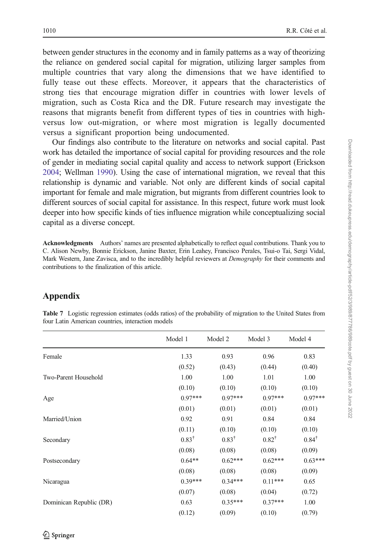<span id="page-21-0"></span>between gender structures in the economy and in family patterns as a way of theorizing the reliance on gendered social capital for migration, utilizing larger samples from multiple countries that vary along the dimensions that we have identified to fully tease out these effects. Moreover, it appears that the characteristics of strong ties that encourage migration differ in countries with lower levels of migration, such as Costa Rica and the DR. Future research may investigate the reasons that migrants benefit from different types of ties in countries with highversus low out-migration, or where most migration is legally documented versus a significant proportion being undocumented.

Our findings also contribute to the literature on networks and social capital. Past work has detailed the importance of social capital for providing resources and the role of gender in mediating social capital quality and access to network support (Erickson [2004;](#page-25-0) Wellman [1990\)](#page-26-0). Using the case of international migration, we reveal that this relationship is dynamic and variable. Not only are different kinds of social capital important for female and male migration, but migrants from different countries look to different sources of social capital for assistance. In this respect, future work must look deeper into how specific kinds of ties influence migration while conceptualizing social capital as a diverse concept.

Acknowledgments Authors' names are presented alphabetically to reflect equal contributions. Thank you to C. Alison Newby, Bonnie Erickson, Janine Baxter, Erin Leahey, Francisco Perales, Tsui-o Tai, Sergi Vidal, Mark Western, Jane Zavisca, and to the incredibly helpful reviewers at *Demography* for their comments and contributions to the finalization of this article.

# Appendix

|                         | Model 1          | Model 2          | Model 3          | Model 4          |
|-------------------------|------------------|------------------|------------------|------------------|
| Female                  | 1.33             | 0.93             | 0.96             | 0.83             |
|                         | (0.52)           | (0.43)           | (0.44)           | (0.40)           |
| Two-Parent Household    | 1.00             | 1.00             | 1.01             | 1.00             |
|                         | (0.10)           | (0.10)           | (0.10)           | (0.10)           |
| Age                     | $0.97***$        | $0.97***$        | $0.97***$        | $0.97***$        |
|                         | (0.01)           | (0.01)           | (0.01)           | (0.01)           |
| Married/Union           | 0.92             | 0.91             | 0.84             | 0.84             |
|                         | (0.11)           | (0.10)           | (0.10)           | (0.10)           |
| Secondary               | $0.83^{\dagger}$ | $0.83^{\dagger}$ | $0.82^{\dagger}$ | $0.84^{\dagger}$ |
|                         | (0.08)           | (0.08)           | (0.08)           | (0.09)           |
| Postsecondary           | $0.64**$         | $0.62***$        | $0.62***$        | $0.63***$        |
|                         | (0.08)           | (0.08)           | (0.08)           | (0.09)           |
| Nicaragua               | $0.39***$        | $0.34***$        | $0.11***$        | 0.65             |
|                         | (0.07)           | (0.08)           | (0.04)           | (0.72)           |
| Dominican Republic (DR) | 0.63             | $0.35***$        | $0.37***$        | 1.00             |
|                         | (0.12)           | (0.09)           | (0.10)           | (0.79)           |

Table 7 Logistic regression estimates (odds ratios) of the probability of migration to the United States from four Latin American countries, interaction models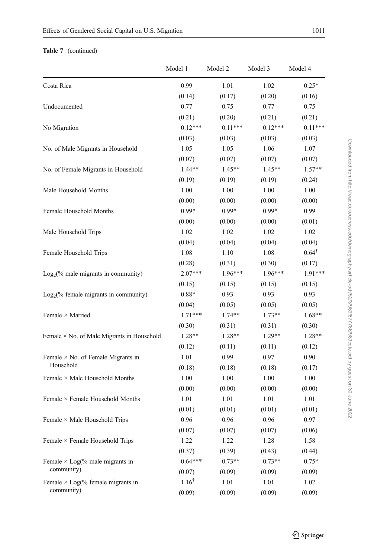### Table 7 (continued)

|                                                   | Model 1          | Model 2   | Model 3   | Model 4          |
|---------------------------------------------------|------------------|-----------|-----------|------------------|
| Costa Rica                                        | 0.99             | 1.01      | 1.02      | $0.25*$          |
|                                                   | (0.14)           | (0.17)    | (0.20)    | (0.16)           |
| Undocumented                                      | 0.77             | 0.75      | 0.77      | 0.75             |
|                                                   | (0.21)           | (0.20)    | (0.21)    | (0.21)           |
| No Migration                                      | $0.12***$        | $0.11***$ | $0.12***$ | $0.11***$        |
|                                                   | (0.03)           | (0.03)    | (0.03)    | (0.03)           |
| No. of Male Migrants in Household                 | 1.05             | 1.05      | 1.06      | 1.07             |
|                                                   | (0.07)           | (0.07)    | (0.07)    | (0.07)           |
| No. of Female Migrants in Household               | 1.44**           | $1.45**$  | $1.45**$  | $1.57**$         |
|                                                   | (0.19)           | (0.19)    | (0.19)    | (0.24)           |
| Male Household Months                             | 1.00             | 1.00      | 1.00      | 1.00             |
|                                                   | (0.00)           | (0.00)    | (0.00)    | (0.00)           |
| Female Household Months                           | $0.99*$          | $0.99*$   | $0.99*$   | 0.99             |
|                                                   | (0.00)           | (0.00)    | (0.00)    | (0.01)           |
| Male Household Trips                              | 1.02             | 1.02      | 1.02      | 1.02             |
|                                                   | (0.04)           | (0.04)    | (0.04)    | (0.04)           |
| Female Household Trips                            | 1.08             | 1.10      | 1.08      | $0.64^{\dagger}$ |
|                                                   | (0.28)           | (0.31)    | (0.30)    | (0.17)           |
| $Log2(\%$ male migrants in community)             | $2.07***$        | $1.96***$ | $1.96***$ | $1.91***$        |
|                                                   | (0.15)           | (0.15)    | (0.15)    | (0.15)           |
| $Log_2(\%$ female migrants in community)          | $0.88*$          | 0.93      | 0.93      | 0.93             |
|                                                   | (0.04)           | (0.05)    | (0.05)    | (0.05)           |
| Female $\times$ Married                           | $1.71***$        | $1.74**$  | $1.73**$  | $1.68**$         |
|                                                   | (0.30)           | (0.31)    | (0.31)    | (0.30)           |
| Female $\times$ No. of Male Migrants in Household | 1.28**           | $1.28**$  | $1.29**$  | $1.28**$         |
|                                                   | (0.12)           | (0.11)    | (0.11)    | (0.12)           |
| Female $\times$ No. of Female Migrants in         | 1.01             | 0.99      | 0.97      | 0.90             |
| Household                                         | (0.18)           | (0.18)    | (0.18)    | (0.17)           |
| Female × Male Household Months                    | 1.00             | 1.00      | 1.00      | 1.00             |
|                                                   | (0.00)           | (0.00)    | (0.00)    | (0.00)           |
| Female × Female Household Months                  | 1.01             | 1.01      | 1.01      | 1.01             |
|                                                   | (0.01)           | (0.01)    | (0.01)    | (0.01)           |
| Female $\times$ Male Household Trips              | 0.96             | 0.96      | 0.96      | 0.97             |
|                                                   | (0.07)           | (0.07)    | (0.07)    | (0.06)           |
| Female × Female Household Trips                   | 1.22             | 1.22      | 1.28      | 1.58             |
|                                                   | (0.37)           | (0.39)    | (0.43)    | (0.44)           |
| Female $\times$ Log(% male migrants in            | $0.64***$        | $0.73**$  | $0.73**$  | $0.75*$          |
| community)                                        | (0.07)           | (0.09)    | (0.09)    | (0.09)           |
| Female $\times$ Log(% female migrants in          | $1.16^{\dagger}$ | 1.01      | 1.01      | 1.02             |
| community)                                        | (0.09)           | (0.09)    | (0.09)    | (0.09)           |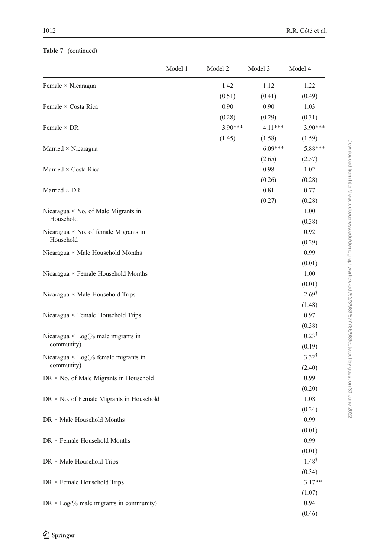### Table 7 (continued)

|                                                           | Model 1 | Model 2   | Model 3   | Model 4          |
|-----------------------------------------------------------|---------|-----------|-----------|------------------|
| Female × Nicaragua                                        |         | 1.42      | 1.12      | 1.22             |
|                                                           |         | (0.51)    | (0.41)    | (0.49)           |
| Female × Costa Rica                                       |         | 0.90      | 0.90      | 1.03             |
|                                                           |         | (0.28)    | (0.29)    | (0.31)           |
| Female $\times$ DR                                        |         | $3.90***$ | $4.11***$ | 3.90***          |
|                                                           |         | (1.45)    | (1.58)    | (1.59)           |
| Married $\times$ Nicaragua                                |         |           | $6.09***$ | 5.88***          |
|                                                           |         |           | (2.65)    | (2.57)           |
| Married × Costa Rica                                      |         |           | 0.98      | 1.02             |
|                                                           |         |           | (0.26)    | (0.28)           |
| Married $\times$ DR                                       |         |           | 0.81      | 0.77             |
|                                                           |         |           | (0.27)    | (0.28)           |
| Nicaragua $\times$ No. of Male Migrants in                |         |           |           | 1.00             |
| Household                                                 |         |           |           | (0.38)           |
| Nicaragua $\times$ No. of female Migrants in<br>Household |         |           |           | 0.92             |
|                                                           |         |           |           | (0.29)           |
| Nicaragua $\times$ Male Household Months                  |         |           |           | 0.99             |
|                                                           |         |           |           | (0.01)           |
| Nicaragua $\times$ Female Household Months                |         |           |           | 1.00             |
|                                                           |         |           |           | (0.01)           |
| Nicaragua $\times$ Male Household Trips                   |         |           |           | $2.69^{\dagger}$ |
|                                                           |         |           |           | (1.48)           |
| Nicaragua $\times$ Female Household Trips                 |         |           |           | 0.97             |
|                                                           |         |           |           | (0.38)           |
| Nicaragua $\times$ Log(% male migrants in                 |         |           |           | $0.23^{\dagger}$ |
| community)                                                |         |           |           | (0.19)           |
| Nicaragua $\times$ Log(% female migrants in               |         |           |           | $3.32^{\dagger}$ |
| community)                                                |         |           |           | (2.40)           |
| $DR \times No.$ of Male Migrants in Household             |         |           |           | 0.99             |
|                                                           |         |           |           | (0.20)           |
| $DR \times No.$ of Female Migrants in Household           |         |           |           | 1.08             |
|                                                           |         |           |           | (0.24)           |
| $DR \times Male$ Household Months                         |         |           |           | 0.99             |
|                                                           |         |           |           | (0.01)           |
| $\text{DR} \times \text{Female Household } \text{Months}$ |         |           |           | 0.99             |
|                                                           |         |           |           | (0.01)           |
| DR × Male Household Trips                                 |         |           |           | $1.48^{\dagger}$ |
|                                                           |         |           |           | (0.34)           |
| $DR \times$ Female Household Trips                        |         |           |           | $3.17**$         |
|                                                           |         |           |           | (1.07)           |
| $DR \times Log(\%$ male migrants in community)            |         |           |           | 0.94             |
|                                                           |         |           |           | (0.46)           |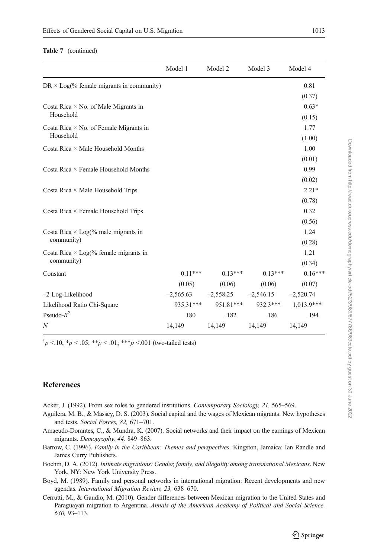#### <span id="page-24-0"></span>Table 7 (continued)

|                                                            | Model 1     | Model 2     | Model 3     | Model 4      |
|------------------------------------------------------------|-------------|-------------|-------------|--------------|
| $DR \times Log(\%$ female migrants in community)           |             |             |             | 0.81         |
|                                                            |             |             |             | (0.37)       |
| Costa Rica $\times$ No. of Male Migrants in                |             |             |             | $0.63*$      |
| Household                                                  |             |             |             | (0.15)       |
| Costa Rica $\times$ No. of Female Migrants in<br>Household |             |             |             | 1.77         |
|                                                            |             |             |             | (1.00)       |
| Costa Rica $\times$ Male Household Months                  |             |             |             | 1.00         |
|                                                            |             |             |             | (0.01)       |
| Costa Rica × Female Household Months                       |             |             |             | 0.99         |
|                                                            |             |             |             | (0.02)       |
| Costa Rica $\times$ Male Household Trips                   |             |             |             | $2.21*$      |
|                                                            |             |             |             | (0.78)       |
| Costa Rica $\times$ Female Household Trips                 |             |             |             | 0.32         |
|                                                            |             |             |             | (0.56)       |
| Costa Rica $\times$ Log(% male migrants in<br>community)   |             |             |             | 1.24         |
|                                                            |             |             |             | (0.28)       |
| Costa Rica $\times$ Log(% female migrants in<br>community) |             |             |             | 1.21         |
|                                                            |             |             |             | (0.34)       |
| Constant                                                   | $0.11***$   | $0.13***$   | $0.13***$   | $0.16***$    |
|                                                            | (0.05)      | (0.06)      | (0.06)      | (0.07)       |
| $-2$ Log-Likelihood                                        | $-2,565.63$ | $-2,558.25$ | $-2,546.15$ | $-2,520.74$  |
| Likelihood Ratio Chi-Square                                | 935.31***   | 951.81***   | 932.3***    | $1.013.9***$ |
| Pseudo- $R^2$                                              | .180        | .182        | .186        | .194         |
| N                                                          | 14,149      | 14,149      | 14,149      | 14,149       |

<sup>†</sup> $p$  <.10; \* $p$  < .05; \*\* $p$  < .01; \*\*\* $p$  <.001 (two-tailed tests)

#### **References**

- Acker, J. (1992). From sex roles to gendered institutions. Contemporary Sociology, 21, 565–569.
- Aguilera, M. B., & Massey, D. S. (2003). Social capital and the wages of Mexican migrants: New hypotheses and tests. Social Forces, 82, 671–701.
- Amaeudo-Dorantes, C., & Mundra, K. (2007). Social networks and their impact on the earnings of Mexican migrants. Demography, 44, 849–863.
- Barrow, C. (1996). Family in the Caribbean: Themes and perspectives. Kingston, Jamaica: Ian Randle and James Curry Publishers.
- Boehm, D. A. (2012). Intimate migrations: Gender, family, and illegality among transnational Mexicans. New York, NY: New York University Press.
- Boyd, M. (1989). Family and personal networks in international migration: Recent developments and new agendas. International Migration Review, 23, 638–670.
- Cerrutti, M., & Gaudio, M. (2010). Gender differences between Mexican migration to the United States and Paraguayan migration to Argentina. Annals of the American Academy of Political and Social Science, 630, 93–113.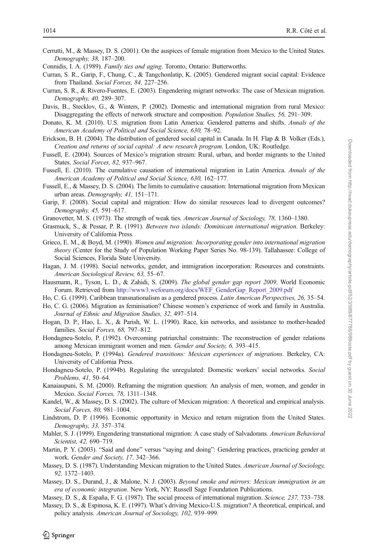<span id="page-25-0"></span>Cerrutti, M., & Massey, D. S. (2001). On the auspices of female migration from Mexico to the United States. Demography, 38, 187–200.

Connidis, I. A. (1989). Family ties and aging. Toronto, Ontario: Butterworths.

- Curran, S. R., Garip, F., Chung, C., & Tangchonlatip, K. (2005). Gendered migrant social capital: Evidence from Thailand. Social Forces, 84, 227-256.
- Curran, S. R., & Rivero-Fuentes, E. (2003). Engendering migrant networks: The case of Mexican migration. Demography, 40, 289–307.
- Davis, B., Stecklov, G., & Winters, P. (2002). Domestic and international migration from rural Mexico: Disaggregating the effects of network structure and composition. Population Studies, 56, 291–309.
- Donato, K. M. (2010). U.S. migration from Latin America: Gendered patterns and shifts. Annals of the American Academy of Political and Social Science, 630, 78–92.
- Erickson, B. H. (2004). The distribution of gendered social capital in Canada. In H. Flap & B. Volker (Eds.), Creation and returns of social capital: A new research program. London, UK: Routledge.
- Fussell, E. (2004). Sources of Mexico's migration stream: Rural, urban, and border migrants to the United States. Social Forces, 82, 937–967.
- Fussell, E. (2010). The cumulative causation of international migration in Latin America. Annals of the American Academy of Political and Social Science, 630, 162–177.
- Fussell, E., & Massey, D. S. (2004). The limits to cumulative causation: International migration from Mexican urban areas. Demography, 41, 151–171.
- Garip, F. (2008). Social capital and migration: How do similar resources lead to divergent outcomes? Demography, 45, 591–617.
- Granovetter, M. S. (1973). The strength of weak ties. American Journal of Sociology, 78, 1360–1380.
- Grasmuck, S., & Pessar, P. R. (1991). Between two islands: Dominican international migration. Berkeley: University of California Press.
- Grieco, E. M., & Boyd, M. (1990). Women and migration: Incorporating gender into international migration theory (Center for the Study of Population Working Paper Series No. 98-139). Tallahassee: College of Social Sciences, Florida State University.
- Hagan, J. M. (1998). Social networks, gender, and immigration incorporation: Resources and constraints. American Sociological Review, 63, 55–67.
- Hausmann, R., Tyson, L. D., & Zahidi, S. (2009). The global gender gap report 2009. World Economic Forum. Retrieved from [http://www3.weforum.org/docs/WEF\\_GenderGap\\_Report\\_2009.pdf](http://www3.weforum.org/docs/WEF_GenderGap_Report_2009.pdf)
- Ho, C. G. (1999). Caribbean transnationalism as a gendered process. Latin American Perspectives, 26, 35–54.
- Ho, C. G. (2006). Migration as feminisation? Chinese women's experience of work and family in Australia. Journal of Ethnic and Migration Studies, 32, 497–514.
- Hogan, D. P., Hao, L. X., & Parish, W. L. (1990). Race, kin networks, and assistance to mother-headed families. Social Forces, 68, 797-812.
- Hondagneu-Sotelo, P. (1992). Overcoming patriarchal constraints: The reconstruction of gender relations among Mexican immigrant women and men. Gender and Society, 6, 393–415.
- Hondagneu-Sotelo, P. (1994a). Gendered transitions: Mexican experiences of migrations. Berkeley, CA: University of California Press.
- Hondagneu-Sotelo, P. (1994b). Regulating the unregulated: Domestic workers' social networks. Social Problems, 41, 50–64.
- Kanaiaupuni, S. M. (2000). Reframing the migration question: An analysis of men, women, and gender in Mexico. Social Forces, 78, 1311–1348.
- Kandel, W., & Massey, D. S. (2002). The culture of Mexican migration: A theoretical and empirical analysis. Social Forces, 80, 981–1004.
- Lindstrom, D. P. (1996). Economic opportunity in Mexico and return migration from the United States. Demography, 33, 357–374.
- Mahler, S. J. (1999). Engendering transnational migration: A case study of Salvadorans. American Behavioral Scientist, 42, 690–719.
- Martin, P. Y. (2003). "Said and done" versus "saying and doing": Gendering practices, practicing gender at work. Gender and Society, 17, 342–366.
- Massey, D. S. (1987). Understanding Mexican migration to the United States. American Journal of Sociology, 92, 1372–1403.
- Massey, D. S., Durand, J., & Malone, N. J. (2003). Beyond smoke and mirrors: Mexican immigration in an era of economic integration. New York, NY: Russell Sage Foundation Publications.
- Massey, D. S., & España, F. G. (1987). The social process of international migration. Science, 237, 733–738.
- Massey, D. S., & Espinosa, K. E. (1997). What's driving Mexico-U.S. migration? A theoretical, empirical, and policy analysis. American Journal of Sociology, 102, 939–999.